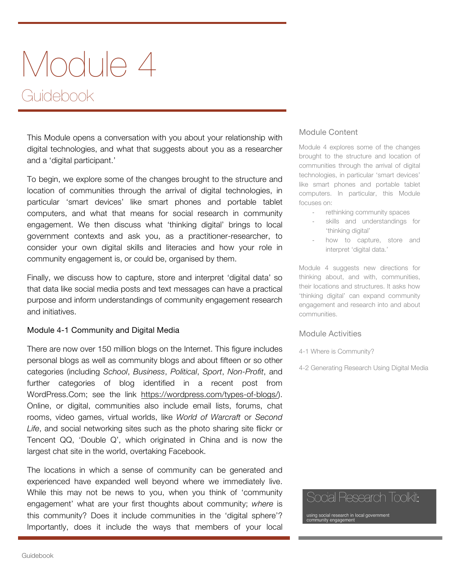# Module 4 Guidebook

This Module opens a conversation with you about your relationship with digital technologies, and what that suggests about you as a researcher and a 'digital participant.'

To begin, we explore some of the changes brought to the structure and location of communities through the arrival of digital technologies, in particular 'smart devices' like smart phones and portable tablet computers, and what that means for social research in community engagement. We then discuss what 'thinking digital' brings to local government contexts and ask you, as a practitioner-researcher, to consider your own digital skills and literacies and how your role in community engagement is, or could be, organised by them.

Finally, we discuss how to capture, store and interpret 'digital data' so that data like social media posts and text messages can have a practical purpose and inform understandings of community engagement research and initiatives.

## Module 4-1 Community and Digital Media

There are now over 150 million blogs on the Internet. This figure includes personal blogs as well as community blogs and about fifteen or so other categories (including *School*, *Business*, *Political*, *Sport*, *Non-Profit*, and further categories of blog identified in a recent post from WordPress.Com; see the link https://wordpress.com/types-of-blogs/). Online, or digital, communities also include email lists, forums, chat rooms, video games, virtual worlds, like *World of Warcraft* or *Second Life*, and social networking sites such as the photo sharing site flickr or Tencent QQ, 'Double Q', which originated in China and is now the largest chat site in the world, overtaking Facebook.

The locations in which a sense of community can be generated and experienced have expanded well beyond where we immediately live. While this may not be news to you, when you think of 'community engagement' what are your first thoughts about community; *where* is this community? Does it include communities in the 'digital sphere'? Importantly, does it include the ways that members of your local

#### Module Content

Module 4 explores some of the changes brought to the structure and location of communities through the arrival of digital technologies, in particular 'smart devices' like smart phones and portable tablet computers. In particular, this Module focuses on:

- rethinking community spaces
- skills and understandings for 'thinking digital'
- how to capture, store and interpret 'digital data.'

Module 4 suggests new directions for thinking about, and with, communities, their locations and structures. It asks how 'thinking digital' can expand community engagement and research into and about communities.

#### Module Activities

4-1 Where is Community?

4-2 Generating Research Using Digital Media

# Social Research Toolkit:

using social research in local government munity engagement